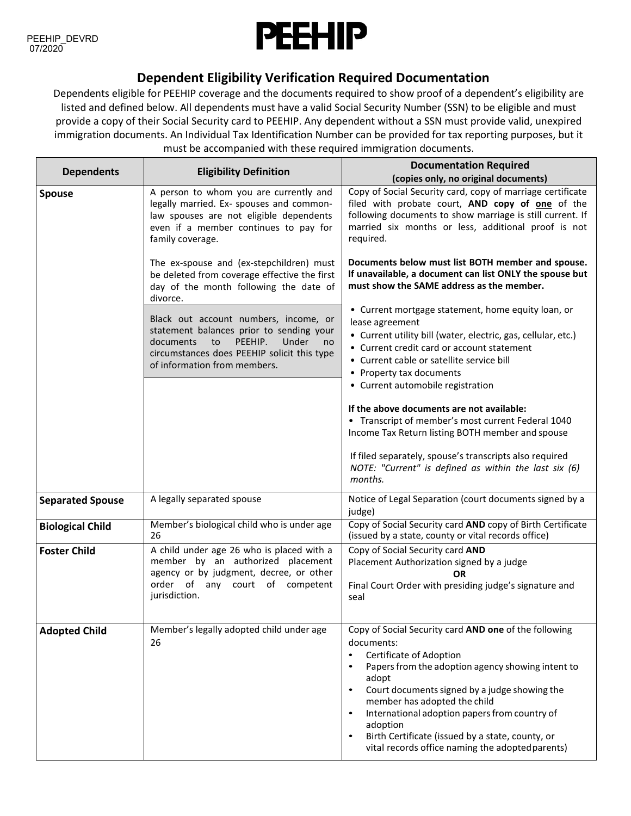

## **Dependent Eligibility Verification Required Documentation**

Dependents eligible for PEEHIP coverage and the documents required to show proof of a dependent's eligibility are listed and defined below. All dependents must have a valid Social Security Number (SSN) to be eligible and must provide a copy of their Social Security card to PEEHIP. Any dependent without a SSN must provide valid, unexpired immigration documents. An Individual Tax Identification Number can be provided for tax reporting purposes, but it must be accompanied with these required immigration documents.

| <b>Dependents</b>       | <b>Eligibility Definition</b>                                                                                                                                                                                 | <b>Documentation Required</b>                                                                                                                                                                                                                                                                                                                                                                                                                                                       |
|-------------------------|---------------------------------------------------------------------------------------------------------------------------------------------------------------------------------------------------------------|-------------------------------------------------------------------------------------------------------------------------------------------------------------------------------------------------------------------------------------------------------------------------------------------------------------------------------------------------------------------------------------------------------------------------------------------------------------------------------------|
|                         |                                                                                                                                                                                                               | (copies only, no original documents)                                                                                                                                                                                                                                                                                                                                                                                                                                                |
| <b>Spouse</b>           | A person to whom you are currently and<br>legally married. Ex- spouses and common-<br>law spouses are not eligible dependents<br>even if a member continues to pay for<br>family coverage.                    | Copy of Social Security card, copy of marriage certificate<br>filed with probate court, AND copy of one of the<br>following documents to show marriage is still current. If<br>married six months or less, additional proof is not<br>required.                                                                                                                                                                                                                                     |
|                         | The ex-spouse and (ex-stepchildren) must<br>be deleted from coverage effective the first<br>day of the month following the date of<br>divorce.                                                                | Documents below must list BOTH member and spouse.<br>If unavailable, a document can list ONLY the spouse but<br>must show the SAME address as the member.                                                                                                                                                                                                                                                                                                                           |
|                         | Black out account numbers, income, or<br>statement balances prior to sending your<br>documents<br>PEEHIP.<br>Under<br>to<br>no<br>circumstances does PEEHIP solicit this type<br>of information from members. | • Current mortgage statement, home equity loan, or<br>lease agreement<br>• Current utility bill (water, electric, gas, cellular, etc.)<br>• Current credit card or account statement<br>• Current cable or satellite service bill<br>• Property tax documents<br>• Current automobile registration                                                                                                                                                                                  |
|                         |                                                                                                                                                                                                               | If the above documents are not available:<br>• Transcript of member's most current Federal 1040<br>Income Tax Return listing BOTH member and spouse                                                                                                                                                                                                                                                                                                                                 |
|                         |                                                                                                                                                                                                               | If filed separately, spouse's transcripts also required<br>NOTE: "Current" is defined as within the last six (6)<br>months.                                                                                                                                                                                                                                                                                                                                                         |
| <b>Separated Spouse</b> | A legally separated spouse                                                                                                                                                                                    | Notice of Legal Separation (court documents signed by a<br>judge)                                                                                                                                                                                                                                                                                                                                                                                                                   |
| <b>Biological Child</b> | Member's biological child who is under age<br>26                                                                                                                                                              | Copy of Social Security card AND copy of Birth Certificate<br>(issued by a state, county or vital records office)                                                                                                                                                                                                                                                                                                                                                                   |
| <b>Foster Child</b>     | A child under age 26 who is placed with a<br>member by an authorized placement<br>agency or by judgment, decree, or other<br>order of any court of competent<br>jurisdiction.                                 | Copy of Social Security card AND<br>Placement Authorization signed by a judge<br>OR<br>Final Court Order with presiding judge's signature and<br>seal                                                                                                                                                                                                                                                                                                                               |
| <b>Adopted Child</b>    | Member's legally adopted child under age<br>26                                                                                                                                                                | Copy of Social Security card AND one of the following<br>documents:<br>Certificate of Adoption<br>$\bullet$<br>Papers from the adoption agency showing intent to<br>$\bullet$<br>adopt<br>Court documents signed by a judge showing the<br>$\bullet$<br>member has adopted the child<br>International adoption papers from country of<br>$\bullet$<br>adoption<br>Birth Certificate (issued by a state, county, or<br>$\bullet$<br>vital records office naming the adopted parents) |